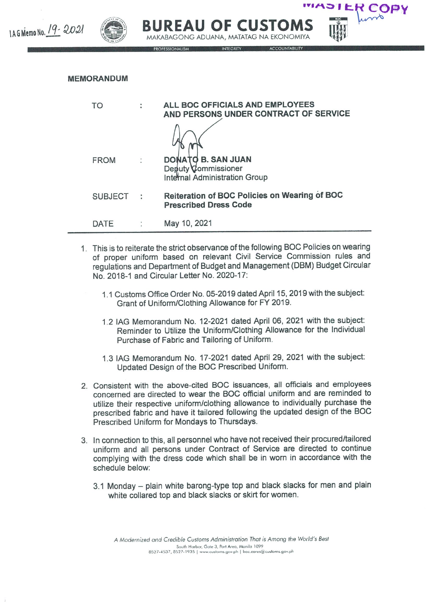

## MEMORANDUM

| TΟ             | $\ddot{\phantom{a}}$ | ALL BOC OFFICIALS AND EMPLOYEES<br>AND PERSONS UNDER CONTRACT OF SERVICE      |
|----------------|----------------------|-------------------------------------------------------------------------------|
|                |                      |                                                                               |
| <b>FROM</b>    |                      | DONATO B. SAN JUAN<br>Deputy Commissioner<br>Internal Administration Group    |
| <b>SUBJECT</b> |                      | Reiteration of BOC Policies on Wearing of BOC<br><b>Prescribed Dress Code</b> |
| DATE           |                      | May 10, 2021                                                                  |

- 1. This is to reiterate the strict observance of the following BOC Policies on wearing of proper uniform based on relevant Civil Service Commission rules and regulations and Department of Budget and Management (DBM) Budget Circular No. 2018-1 and Circular Letter No. 2020-17:
	- 1.1 Customs Office Order No. 05-2019 dated April 15, 2019 with the subject: Grant of Uniform/Clothing Allowance for FY 2019.
	- 21AG Memorandum No. 12-202t dated April 06,2021 with the subject: Reminder to Utilize the Uniform/Clothing Allowance for the Individual Purchase of Fabric and Tailoring of Uniform.
	- 1.3 IAG Memorandum No. 17-2021 dated April 29, 2021 with the subject: Updated Design of the BOC Prescribed Uniform.
- 2. Consistent with the above-cited BOC issuances, all officials and employees concerned are directed to wear the BOG official uniform and are reminded to utilize their respective uniform/clothing allowance to individually purchase the prescribed fabric and have it tailored following the updated design of the BOC Prescribed Uniform for Mondays to Thursdays.
- 3. In connection to this, all personnel who have not received their procured/tailored uniform and all persons under Contract of Service are directed to continue complying with the dress code which shall be in worn in accordance with the schedule below:
	- 3.1 Monday plain white barong-type top and black slacks for men and plain white collared top and black slacks or skirt for women.